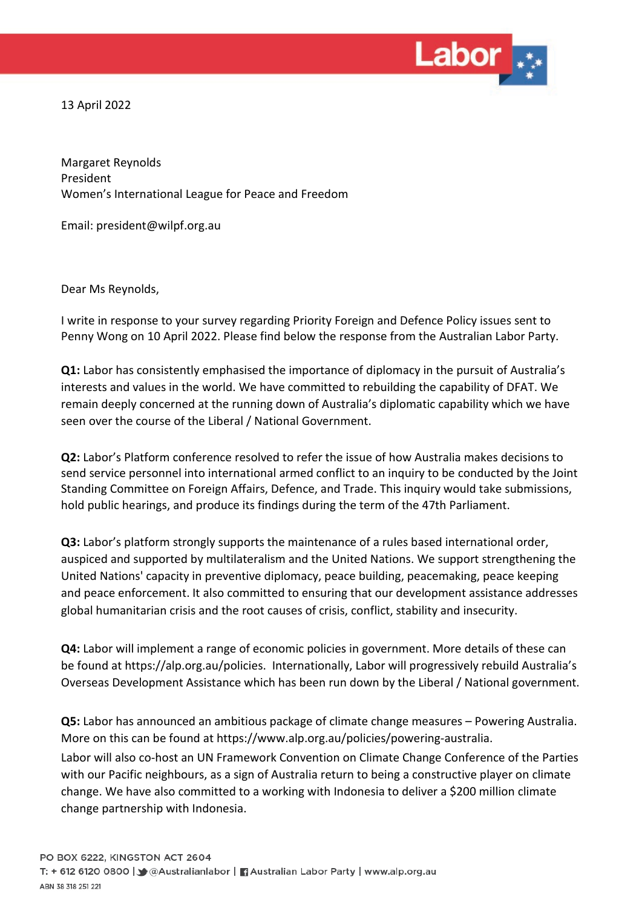

13 April 2022

Margaret Reynolds President Women's International League for Peace and Freedom

Email: [president@wilpf.org.au](mailto:president@wilpf.org.au)

Dear Ms Reynolds,

I write in response to your survey regarding Priority Foreign and Defence Policy issues sent to Penny Wong on 10 April 2022. Please find below the response from the Australian Labor Party.

**Q1:** Labor has consistently emphasised the importance of diplomacy in the pursuit of Australia's interests and values in the world. We have committed to rebuilding the capability of DFAT. We remain deeply concerned at the running down of Australia's diplomatic capability which we have seen over the course of the Liberal / National Government.

**Q2:** Labor's Platform conference resolved to refer the issue of how Australia makes decisions to send service personnel into international armed conflict to an inquiry to be conducted by the Joint Standing Committee on Foreign Affairs, Defence, and Trade. This inquiry would take submissions, hold public hearings, and produce its findings during the term of the 47th Parliament.

**Q3:** Labor's platform strongly supports the maintenance of a rules based international order, auspiced and supported by multilateralism and the United Nations. We support strengthening the United Nations' capacity in preventive diplomacy, peace building, peacemaking, peace keeping and peace enforcement. It also committed to ensuring that our development assistance addresses global humanitarian crisis and the root causes of crisis, conflict, stability and insecurity.

**Q4:** Labor will implement a range of economic policies in government. More details of these can be found at [https://alp.org.au/policies.](https://alp.org.au/policies) Internationally, Labor will progressively rebuild Australia's Overseas Development Assistance which has been run down by the Liberal / National government.

**Q5:** Labor has announced an ambitious package of climate change measures – Powering Australia. More on this can be found at [https://www.alp.org.au/policies/powering-australia.](https://www.alp.org.au/policies/powering-australia) Labor will also co-host an UN Framework Convention on Climate Change Conference of the Parties with our Pacific neighbours, as a sign of Australia return to being a constructive player on climate change. We have also committed to a working with Indonesia to deliver a \$200 million climate change partnership with Indonesia.